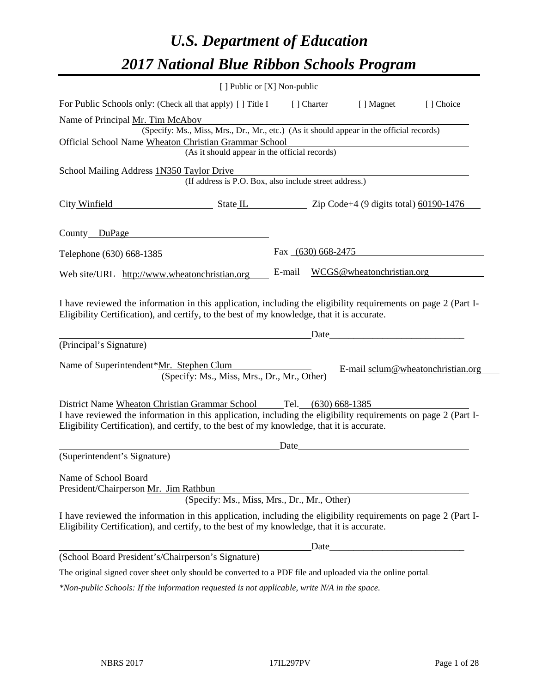# *U.S. Department of Education 2017 National Blue Ribbon Schools Program*

|                                                               | [ ] Public or [X] Non-public                                                                                                                                                                                                                                                                                       |                      |                           |                                   |
|---------------------------------------------------------------|--------------------------------------------------------------------------------------------------------------------------------------------------------------------------------------------------------------------------------------------------------------------------------------------------------------------|----------------------|---------------------------|-----------------------------------|
|                                                               | For Public Schools only: (Check all that apply) [ ] Title I                                                                                                                                                                                                                                                        | [ ] Charter          | [ ] Magnet                | [ ] Choice                        |
| Name of Principal Mr. Tim McAboy                              |                                                                                                                                                                                                                                                                                                                    |                      |                           |                                   |
|                                                               | (Specify: Ms., Miss, Mrs., Dr., Mr., etc.) (As it should appear in the official records)                                                                                                                                                                                                                           |                      |                           |                                   |
|                                                               | Official School Name Wheaton Christian Grammar School                                                                                                                                                                                                                                                              |                      |                           |                                   |
|                                                               | (As it should appear in the official records)                                                                                                                                                                                                                                                                      |                      |                           |                                   |
| School Mailing Address 1N350 Taylor Drive                     |                                                                                                                                                                                                                                                                                                                    |                      |                           |                                   |
|                                                               | (If address is P.O. Box, also include street address.)                                                                                                                                                                                                                                                             |                      |                           |                                   |
| City Winfield                                                 | $\frac{1}{2}$ State IL $\frac{1}{2}$ $\frac{1}{2}$ $\frac{1}{2}$ $\frac{1}{2}$ $\frac{1}{2}$ $\frac{1}{2}$ $\frac{1}{2}$ $\frac{1}{2}$ $\frac{1}{2}$ $\frac{1}{2}$ $\frac{1}{2}$ $\frac{1}{2}$ $\frac{1}{2}$ $\frac{1}{2}$ $\frac{1}{2}$ $\frac{1}{2}$ $\frac{1}{2}$ $\frac{1}{2}$ $\frac{1}{2}$ $\frac{1}{2}$ $\$ |                      |                           |                                   |
| County DuPage                                                 |                                                                                                                                                                                                                                                                                                                    |                      |                           |                                   |
| Telephone (630) 668-1385                                      |                                                                                                                                                                                                                                                                                                                    | Fax $(630)$ 668-2475 |                           |                                   |
| Web site/URL http://www.wheatonchristian.org                  |                                                                                                                                                                                                                                                                                                                    | E-mail               | WCGS@wheatonchristian.org |                                   |
| (Principal's Signature)                                       | Eligibility Certification), and certify, to the best of my knowledge, that it is accurate.                                                                                                                                                                                                                         | Date                 |                           |                                   |
| Name of Superintendent*Mr. Stephen Clum                       | (Specify: Ms., Miss, Mrs., Dr., Mr., Other)                                                                                                                                                                                                                                                                        |                      |                           | E-mail sclum@wheatonchristian.org |
|                                                               | District Name Wheaton Christian Grammar School Tel. (630) 668-1385                                                                                                                                                                                                                                                 |                      |                           |                                   |
|                                                               | I have reviewed the information in this application, including the eligibility requirements on page 2 (Part I-<br>Eligibility Certification), and certify, to the best of my knowledge, that it is accurate.                                                                                                       |                      |                           |                                   |
|                                                               |                                                                                                                                                                                                                                                                                                                    | Date                 |                           |                                   |
| (Superintendent's Signature)                                  |                                                                                                                                                                                                                                                                                                                    |                      |                           |                                   |
| Name of School Board<br>President/Chairperson Mr. Jim Rathbun | (Specify: Ms., Miss, Mrs., Dr., Mr., Other)                                                                                                                                                                                                                                                                        |                      |                           |                                   |
|                                                               | I have reviewed the information in this application, including the eligibility requirements on page 2 (Part I-<br>Eligibility Certification), and certify, to the best of my knowledge, that it is accurate.                                                                                                       |                      |                           |                                   |
|                                                               |                                                                                                                                                                                                                                                                                                                    | Date                 |                           |                                   |
| (School Board President's/Chairperson's Signature)            |                                                                                                                                                                                                                                                                                                                    |                      |                           |                                   |
|                                                               | The original signed cover sheet only should be converted to a PDF file and uploaded via the online portal.                                                                                                                                                                                                         |                      |                           |                                   |
|                                                               | $*$ Non-public Schools: If the information requested is not applicable, write $N/A$ in the space.                                                                                                                                                                                                                  |                      |                           |                                   |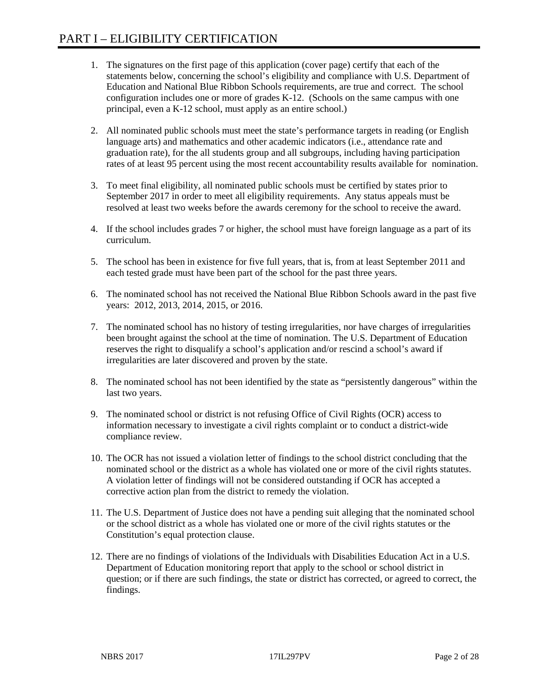- 1. The signatures on the first page of this application (cover page) certify that each of the statements below, concerning the school's eligibility and compliance with U.S. Department of Education and National Blue Ribbon Schools requirements, are true and correct. The school configuration includes one or more of grades K-12. (Schools on the same campus with one principal, even a K-12 school, must apply as an entire school.)
- 2. All nominated public schools must meet the state's performance targets in reading (or English language arts) and mathematics and other academic indicators (i.e., attendance rate and graduation rate), for the all students group and all subgroups, including having participation rates of at least 95 percent using the most recent accountability results available for nomination.
- 3. To meet final eligibility, all nominated public schools must be certified by states prior to September 2017 in order to meet all eligibility requirements. Any status appeals must be resolved at least two weeks before the awards ceremony for the school to receive the award.
- 4. If the school includes grades 7 or higher, the school must have foreign language as a part of its curriculum.
- 5. The school has been in existence for five full years, that is, from at least September 2011 and each tested grade must have been part of the school for the past three years.
- 6. The nominated school has not received the National Blue Ribbon Schools award in the past five years: 2012, 2013, 2014, 2015, or 2016.
- 7. The nominated school has no history of testing irregularities, nor have charges of irregularities been brought against the school at the time of nomination. The U.S. Department of Education reserves the right to disqualify a school's application and/or rescind a school's award if irregularities are later discovered and proven by the state.
- 8. The nominated school has not been identified by the state as "persistently dangerous" within the last two years.
- 9. The nominated school or district is not refusing Office of Civil Rights (OCR) access to information necessary to investigate a civil rights complaint or to conduct a district-wide compliance review.
- 10. The OCR has not issued a violation letter of findings to the school district concluding that the nominated school or the district as a whole has violated one or more of the civil rights statutes. A violation letter of findings will not be considered outstanding if OCR has accepted a corrective action plan from the district to remedy the violation.
- 11. The U.S. Department of Justice does not have a pending suit alleging that the nominated school or the school district as a whole has violated one or more of the civil rights statutes or the Constitution's equal protection clause.
- 12. There are no findings of violations of the Individuals with Disabilities Education Act in a U.S. Department of Education monitoring report that apply to the school or school district in question; or if there are such findings, the state or district has corrected, or agreed to correct, the findings.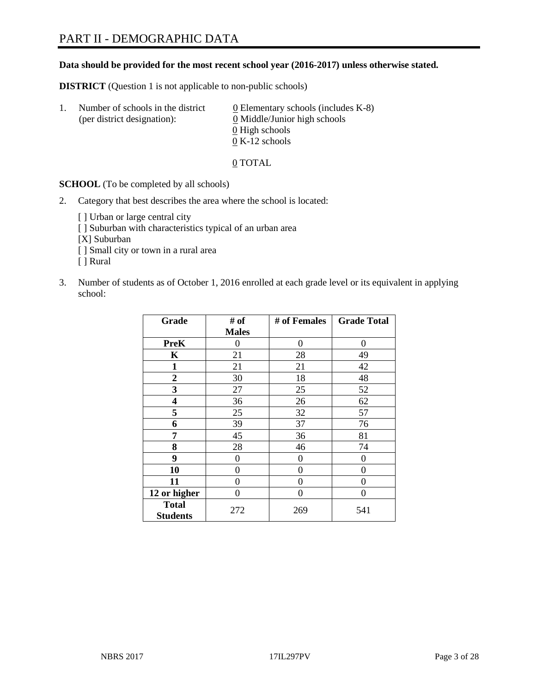#### **Data should be provided for the most recent school year (2016-2017) unless otherwise stated.**

**DISTRICT** (Question 1 is not applicable to non-public schools)

| -1. | Number of schools in the district<br>(per district designation): | $\underline{0}$ Elementary schools (includes K-8)<br>0 Middle/Junior high schools |  |
|-----|------------------------------------------------------------------|-----------------------------------------------------------------------------------|--|
|     |                                                                  | 0 High schools                                                                    |  |
|     |                                                                  | $0 K-12$ schools                                                                  |  |

0 TOTAL

**SCHOOL** (To be completed by all schools)

2. Category that best describes the area where the school is located:

[] Urban or large central city [ ] Suburban with characteristics typical of an urban area [X] Suburban [ ] Small city or town in a rural area [ ] Rural

3. Number of students as of October 1, 2016 enrolled at each grade level or its equivalent in applying school:

| Grade                           | # of         | # of Females | <b>Grade Total</b> |
|---------------------------------|--------------|--------------|--------------------|
|                                 | <b>Males</b> |              |                    |
| <b>PreK</b>                     | 0            | 0            | 0                  |
| K                               | 21           | 28           | 49                 |
| 1                               | 21           | 21           | 42                 |
| $\overline{2}$                  | 30           | 18           | 48                 |
| 3                               | 27           | 25           | 52                 |
| 4                               | 36           | 26           | 62                 |
| 5                               | 25           | 32           | 57                 |
| 6                               | 39           | 37           | 76                 |
| 7                               | 45           | 36           | 81                 |
| 8                               | 28           | 46           | 74                 |
| 9                               | 0            | 0            | 0                  |
| 10                              | 0            | 0            | 0                  |
| 11                              | 0            | 0            | 0                  |
| 12 or higher                    | 0            | 0            | $\theta$           |
| <b>Total</b><br><b>Students</b> | 272          | 269          | 541                |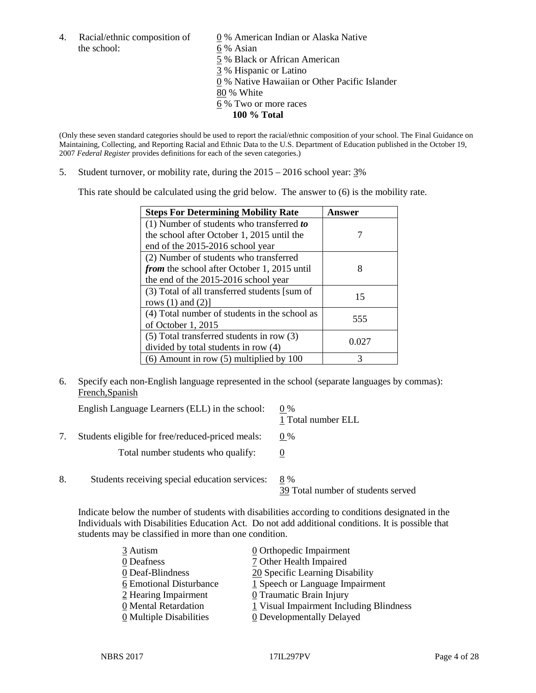4. Racial/ethnic composition of  $\qquad 0\%$  American Indian or Alaska Native the school: 6 % Asian

 % Black or African American % Hispanic or Latino % Native Hawaiian or Other Pacific Islander 80 % White % Two or more races **100 % Total**

(Only these seven standard categories should be used to report the racial/ethnic composition of your school. The Final Guidance on Maintaining, Collecting, and Reporting Racial and Ethnic Data to the U.S. Department of Education published in the October 19, 2007 *Federal Register* provides definitions for each of the seven categories.)

5. Student turnover, or mobility rate, during the 2015 – 2016 school year: 3%

This rate should be calculated using the grid below. The answer to (6) is the mobility rate.

| <b>Steps For Determining Mobility Rate</b>         | Answer |
|----------------------------------------------------|--------|
| $(1)$ Number of students who transferred to        |        |
| the school after October 1, 2015 until the         |        |
| end of the 2015-2016 school year                   |        |
| (2) Number of students who transferred             |        |
| <i>from</i> the school after October 1, 2015 until | 8      |
| the end of the 2015-2016 school year               |        |
| (3) Total of all transferred students [sum of      | 15     |
| rows $(1)$ and $(2)$ ]                             |        |
| (4) Total number of students in the school as      | 555    |
| of October 1, 2015                                 |        |
| $(5)$ Total transferred students in row $(3)$      | 0.027  |
| divided by total students in row (4)               |        |
| $(6)$ Amount in row $(5)$ multiplied by 100        | 3      |

6. Specify each non-English language represented in the school (separate languages by commas): French,Spanish

| English Language Learners (ELL) in the school:   | $0\%$<br>1 Total number ELL               |
|--------------------------------------------------|-------------------------------------------|
| Students eligible for free/reduced-priced meals: | $0\%$                                     |
| Total number students who qualify:               |                                           |
| Students receiving special education services:   | 8 %<br>39 Total number of students served |

Indicate below the number of students with disabilities according to conditions designated in the Individuals with Disabilities Education Act. Do not add additional conditions. It is possible that students may be classified in more than one condition.

| 3 Autism                              | 0 Orthopedic Impairment                 |
|---------------------------------------|-----------------------------------------|
| 0 Deafness                            | 7 Other Health Impaired                 |
| 0 Deaf-Blindness                      | 20 Specific Learning Disability         |
| 6 Emotional Disturbance               | 1 Speech or Language Impairment         |
| 2 Hearing Impairment                  | 0 Traumatic Brain Injury                |
| 0 Mental Retardation                  | 1 Visual Impairment Including Blindness |
| $\underline{0}$ Multiple Disabilities | <b>0</b> Developmentally Delayed        |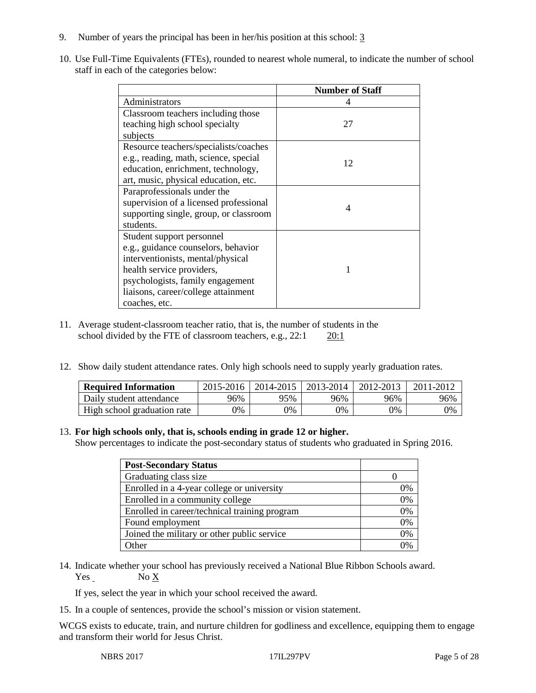- 9. Number of years the principal has been in her/his position at this school: 3
- 10. Use Full-Time Equivalents (FTEs), rounded to nearest whole numeral, to indicate the number of school staff in each of the categories below:

|                                        | <b>Number of Staff</b> |
|----------------------------------------|------------------------|
| Administrators                         |                        |
| Classroom teachers including those     |                        |
| teaching high school specialty         | 27                     |
| subjects                               |                        |
| Resource teachers/specialists/coaches  |                        |
| e.g., reading, math, science, special  | 12                     |
| education, enrichment, technology,     |                        |
| art, music, physical education, etc.   |                        |
| Paraprofessionals under the            |                        |
| supervision of a licensed professional | 4                      |
| supporting single, group, or classroom |                        |
| students.                              |                        |
| Student support personnel              |                        |
| e.g., guidance counselors, behavior    |                        |
| interventionists, mental/physical      |                        |
| health service providers,              |                        |
| psychologists, family engagement       |                        |
| liaisons, career/college attainment    |                        |
| coaches, etc.                          |                        |

- 11. Average student-classroom teacher ratio, that is, the number of students in the school divided by the FTE of classroom teachers, e.g., 22:1 20:1
- 12. Show daily student attendance rates. Only high schools need to supply yearly graduation rates.

| <b>Required Information</b> | 2015-2016 | 2014-2015   2013-2014 |     | 2012-2013 | 2011-2012 |
|-----------------------------|-----------|-----------------------|-----|-----------|-----------|
| Daily student attendance    | 96%       | 95%                   | 96% | 96%       | 96%       |
| High school graduation rate | 9%        | 0%                    | 0%  | 9%        | 0%        |

#### 13. **For high schools only, that is, schools ending in grade 12 or higher.**

Show percentages to indicate the post-secondary status of students who graduated in Spring 2016.

| <b>Post-Secondary Status</b>                  |    |
|-----------------------------------------------|----|
| Graduating class size                         |    |
| Enrolled in a 4-year college or university    | 0% |
| Enrolled in a community college               | 0% |
| Enrolled in career/technical training program | 0% |
| Found employment                              | 0% |
| Joined the military or other public service   | 0% |
| <b>Other</b>                                  | በ% |

14. Indicate whether your school has previously received a National Blue Ribbon Schools award. Yes No X

If yes, select the year in which your school received the award.

15. In a couple of sentences, provide the school's mission or vision statement.

WCGS exists to educate, train, and nurture children for godliness and excellence, equipping them to engage and transform their world for Jesus Christ.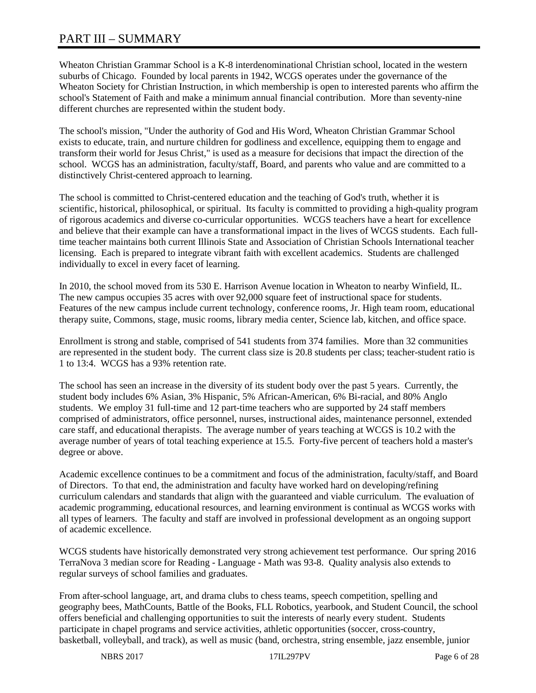# PART III – SUMMARY

Wheaton Christian Grammar School is a K-8 interdenominational Christian school, located in the western suburbs of Chicago. Founded by local parents in 1942, WCGS operates under the governance of the Wheaton Society for Christian Instruction, in which membership is open to interested parents who affirm the school's Statement of Faith and make a minimum annual financial contribution. More than seventy-nine different churches are represented within the student body.

The school's mission, "Under the authority of God and His Word, Wheaton Christian Grammar School exists to educate, train, and nurture children for godliness and excellence, equipping them to engage and transform their world for Jesus Christ," is used as a measure for decisions that impact the direction of the school. WCGS has an administration, faculty/staff, Board, and parents who value and are committed to a distinctively Christ-centered approach to learning.

The school is committed to Christ-centered education and the teaching of God's truth, whether it is scientific, historical, philosophical, or spiritual. Its faculty is committed to providing a high-quality program of rigorous academics and diverse co-curricular opportunities. WCGS teachers have a heart for excellence and believe that their example can have a transformational impact in the lives of WCGS students. Each fulltime teacher maintains both current Illinois State and Association of Christian Schools International teacher licensing. Each is prepared to integrate vibrant faith with excellent academics. Students are challenged individually to excel in every facet of learning.

In 2010, the school moved from its 530 E. Harrison Avenue location in Wheaton to nearby Winfield, IL. The new campus occupies 35 acres with over 92,000 square feet of instructional space for students. Features of the new campus include current technology, conference rooms, Jr. High team room, educational therapy suite, Commons, stage, music rooms, library media center, Science lab, kitchen, and office space.

Enrollment is strong and stable, comprised of 541 students from 374 families. More than 32 communities are represented in the student body. The current class size is 20.8 students per class; teacher-student ratio is 1 to 13:4. WCGS has a 93% retention rate.

The school has seen an increase in the diversity of its student body over the past 5 years. Currently, the student body includes 6% Asian, 3% Hispanic, 5% African-American, 6% Bi-racial, and 80% Anglo students. We employ 31 full-time and 12 part-time teachers who are supported by 24 staff members comprised of administrators, office personnel, nurses, instructional aides, maintenance personnel, extended care staff, and educational therapists. The average number of years teaching at WCGS is 10.2 with the average number of years of total teaching experience at 15.5. Forty-five percent of teachers hold a master's degree or above.

Academic excellence continues to be a commitment and focus of the administration, faculty/staff, and Board of Directors. To that end, the administration and faculty have worked hard on developing/refining curriculum calendars and standards that align with the guaranteed and viable curriculum. The evaluation of academic programming, educational resources, and learning environment is continual as WCGS works with all types of learners. The faculty and staff are involved in professional development as an ongoing support of academic excellence.

WCGS students have historically demonstrated very strong achievement test performance. Our spring 2016 TerraNova 3 median score for Reading - Language - Math was 93-8. Quality analysis also extends to regular surveys of school families and graduates.

From after-school language, art, and drama clubs to chess teams, speech competition, spelling and geography bees, MathCounts, Battle of the Books, FLL Robotics, yearbook, and Student Council, the school offers beneficial and challenging opportunities to suit the interests of nearly every student. Students participate in chapel programs and service activities, athletic opportunities (soccer, cross-country, basketball, volleyball, and track), as well as music (band, orchestra, string ensemble, jazz ensemble, junior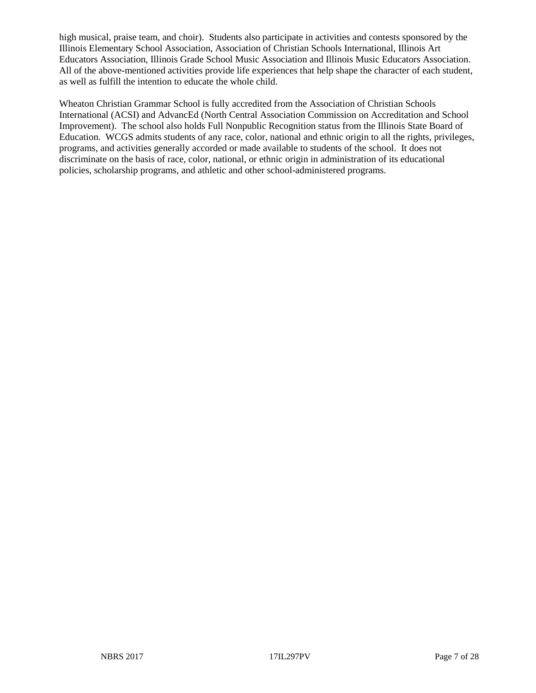high musical, praise team, and choir). Students also participate in activities and contests sponsored by the Illinois Elementary School Association, Association of Christian Schools International, Illinois Art Educators Association, Illinois Grade School Music Association and Illinois Music Educators Association. All of the above-mentioned activities provide life experiences that help shape the character of each student, as well as fulfill the intention to educate the whole child.

Wheaton Christian Grammar School is fully accredited from the Association of Christian Schools International (ACSI) and AdvancEd (North Central Association Commission on Accreditation and School Improvement). The school also holds Full Nonpublic Recognition status from the Illinois State Board of Education. WCGS admits students of any race, color, national and ethnic origin to all the rights, privileges, programs, and activities generally accorded or made available to students of the school. It does not discriminate on the basis of race, color, national, or ethnic origin in administration of its educational policies, scholarship programs, and athletic and other school-administered programs.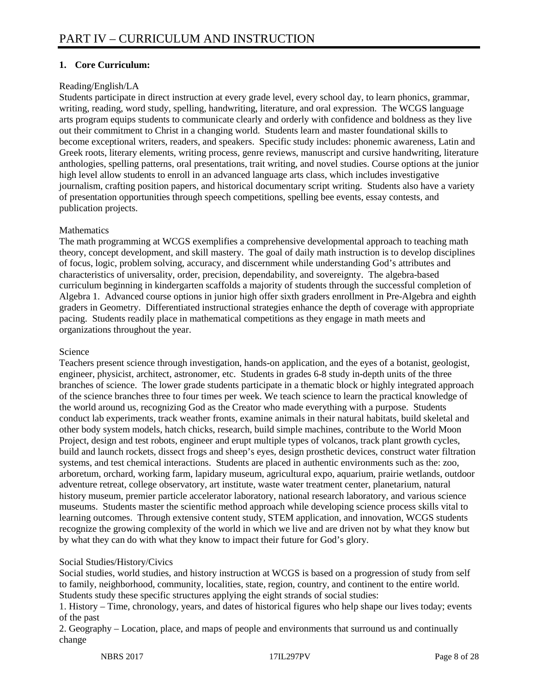### **1. Core Curriculum:**

#### Reading/English/LA

Students participate in direct instruction at every grade level, every school day, to learn phonics, grammar, writing, reading, word study, spelling, handwriting, literature, and oral expression. The WCGS language arts program equips students to communicate clearly and orderly with confidence and boldness as they live out their commitment to Christ in a changing world. Students learn and master foundational skills to become exceptional writers, readers, and speakers. Specific study includes: phonemic awareness, Latin and Greek roots, literary elements, writing process, genre reviews, manuscript and cursive handwriting, literature anthologies, spelling patterns, oral presentations, trait writing, and novel studies. Course options at the junior high level allow students to enroll in an advanced language arts class, which includes investigative journalism, crafting position papers, and historical documentary script writing. Students also have a variety of presentation opportunities through speech competitions, spelling bee events, essay contests, and publication projects.

#### **Mathematics**

The math programming at WCGS exemplifies a comprehensive developmental approach to teaching math theory, concept development, and skill mastery. The goal of daily math instruction is to develop disciplines of focus, logic, problem solving, accuracy, and discernment while understanding God's attributes and characteristics of universality, order, precision, dependability, and sovereignty. The algebra-based curriculum beginning in kindergarten scaffolds a majority of students through the successful completion of Algebra 1. Advanced course options in junior high offer sixth graders enrollment in Pre-Algebra and eighth graders in Geometry. Differentiated instructional strategies enhance the depth of coverage with appropriate pacing. Students readily place in mathematical competitions as they engage in math meets and organizations throughout the year.

#### Science

Teachers present science through investigation, hands-on application, and the eyes of a botanist, geologist, engineer, physicist, architect, astronomer, etc. Students in grades 6-8 study in-depth units of the three branches of science. The lower grade students participate in a thematic block or highly integrated approach of the science branches three to four times per week. We teach science to learn the practical knowledge of the world around us, recognizing God as the Creator who made everything with a purpose. Students conduct lab experiments, track weather fronts, examine animals in their natural habitats, build skeletal and other body system models, hatch chicks, research, build simple machines, contribute to the World Moon Project, design and test robots, engineer and erupt multiple types of volcanos, track plant growth cycles, build and launch rockets, dissect frogs and sheep's eyes, design prosthetic devices, construct water filtration systems, and test chemical interactions. Students are placed in authentic environments such as the: zoo, arboretum, orchard, working farm, lapidary museum, agricultural expo, aquarium, prairie wetlands, outdoor adventure retreat, college observatory, art institute, waste water treatment center, planetarium, natural history museum, premier particle accelerator laboratory, national research laboratory, and various science museums. Students master the scientific method approach while developing science process skills vital to learning outcomes. Through extensive content study, STEM application, and innovation, WCGS students recognize the growing complexity of the world in which we live and are driven not by what they know but by what they can do with what they know to impact their future for God's glory.

#### Social Studies/History/Civics

Social studies, world studies, and history instruction at WCGS is based on a progression of study from self to family, neighborhood, community, localities, state, region, country, and continent to the entire world. Students study these specific structures applying the eight strands of social studies:

1. History – Time, chronology, years, and dates of historical figures who help shape our lives today; events of the past

2. Geography – Location, place, and maps of people and environments that surround us and continually change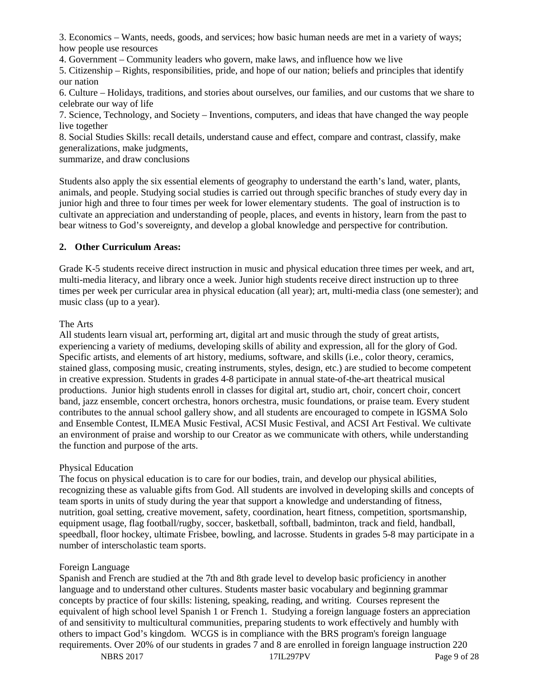3. Economics – Wants, needs, goods, and services; how basic human needs are met in a variety of ways; how people use resources

4. Government – Community leaders who govern, make laws, and influence how we live

5. Citizenship – Rights, responsibilities, pride, and hope of our nation; beliefs and principles that identify our nation

6. Culture – Holidays, traditions, and stories about ourselves, our families, and our customs that we share to celebrate our way of life

7. Science, Technology, and Society – Inventions, computers, and ideas that have changed the way people live together

8. Social Studies Skills: recall details, understand cause and effect, compare and contrast, classify, make generalizations, make judgments,

summarize, and draw conclusions

Students also apply the six essential elements of geography to understand the earth's land, water, plants, animals, and people. Studying social studies is carried out through specific branches of study every day in junior high and three to four times per week for lower elementary students. The goal of instruction is to cultivate an appreciation and understanding of people, places, and events in history, learn from the past to bear witness to God's sovereignty, and develop a global knowledge and perspective for contribution.

#### **2. Other Curriculum Areas:**

Grade K-5 students receive direct instruction in music and physical education three times per week, and art, multi-media literacy, and library once a week. Junior high students receive direct instruction up to three times per week per curricular area in physical education (all year); art, multi-media class (one semester); and music class (up to a year).

#### The Arts

All students learn visual art, performing art, digital art and music through the study of great artists, experiencing a variety of mediums, developing skills of ability and expression, all for the glory of God. Specific artists, and elements of art history, mediums, software, and skills (i.e., color theory, ceramics, stained glass, composing music, creating instruments, styles, design, etc.) are studied to become competent in creative expression. Students in grades 4-8 participate in annual state-of-the-art theatrical musical productions. Junior high students enroll in classes for digital art, studio art, choir, concert choir, concert band, jazz ensemble, concert orchestra, honors orchestra, music foundations, or praise team. Every student contributes to the annual school gallery show, and all students are encouraged to compete in IGSMA Solo and Ensemble Contest, ILMEA Music Festival, ACSI Music Festival, and ACSI Art Festival. We cultivate an environment of praise and worship to our Creator as we communicate with others, while understanding the function and purpose of the arts.

#### Physical Education

The focus on physical education is to care for our bodies, train, and develop our physical abilities, recognizing these as valuable gifts from God. All students are involved in developing skills and concepts of team sports in units of study during the year that support a knowledge and understanding of fitness, nutrition, goal setting, creative movement, safety, coordination, heart fitness, competition, sportsmanship, equipment usage, flag football/rugby, soccer, basketball, softball, badminton, track and field, handball, speedball, floor hockey, ultimate Frisbee, bowling, and lacrosse. Students in grades 5-8 may participate in a number of interscholastic team sports.

#### Foreign Language

Spanish and French are studied at the 7th and 8th grade level to develop basic proficiency in another language and to understand other cultures. Students master basic vocabulary and beginning grammar concepts by practice of four skills: listening, speaking, reading, and writing. Courses represent the equivalent of high school level Spanish 1 or French 1. Studying a foreign language fosters an appreciation of and sensitivity to multicultural communities, preparing students to work effectively and humbly with others to impact God's kingdom. WCGS is in compliance with the BRS program's foreign language requirements. Over 20% of our students in grades 7 and 8 are enrolled in foreign language instruction 220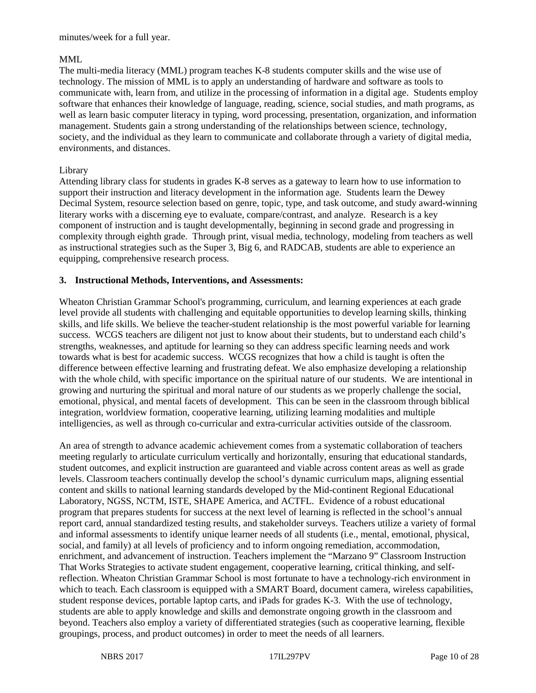minutes/week for a full year.

#### MML

The multi-media literacy (MML) program teaches K-8 students computer skills and the wise use of technology. The mission of MML is to apply an understanding of hardware and software as tools to communicate with, learn from, and utilize in the processing of information in a digital age. Students employ software that enhances their knowledge of language, reading, science, social studies, and math programs, as well as learn basic computer literacy in typing, word processing, presentation, organization, and information management. Students gain a strong understanding of the relationships between science, technology, society, and the individual as they learn to communicate and collaborate through a variety of digital media, environments, and distances.

#### Library

Attending library class for students in grades K-8 serves as a gateway to learn how to use information to support their instruction and literacy development in the information age. Students learn the Dewey Decimal System, resource selection based on genre, topic, type, and task outcome, and study award-winning literary works with a discerning eye to evaluate, compare/contrast, and analyze. Research is a key component of instruction and is taught developmentally, beginning in second grade and progressing in complexity through eighth grade. Through print, visual media, technology, modeling from teachers as well as instructional strategies such as the Super 3, Big 6, and RADCAB, students are able to experience an equipping, comprehensive research process.

#### **3. Instructional Methods, Interventions, and Assessments:**

Wheaton Christian Grammar School's programming, curriculum, and learning experiences at each grade level provide all students with challenging and equitable opportunities to develop learning skills, thinking skills, and life skills. We believe the teacher-student relationship is the most powerful variable for learning success. WCGS teachers are diligent not just to know about their students, but to understand each child's strengths, weaknesses, and aptitude for learning so they can address specific learning needs and work towards what is best for academic success. WCGS recognizes that how a child is taught is often the difference between effective learning and frustrating defeat. We also emphasize developing a relationship with the whole child, with specific importance on the spiritual nature of our students. We are intentional in growing and nurturing the spiritual and moral nature of our students as we properly challenge the social, emotional, physical, and mental facets of development. This can be seen in the classroom through biblical integration, worldview formation, cooperative learning, utilizing learning modalities and multiple intelligencies, as well as through co-curricular and extra-curricular activities outside of the classroom.

An area of strength to advance academic achievement comes from a systematic collaboration of teachers meeting regularly to articulate curriculum vertically and horizontally, ensuring that educational standards, student outcomes, and explicit instruction are guaranteed and viable across content areas as well as grade levels. Classroom teachers continually develop the school's dynamic curriculum maps, aligning essential content and skills to national learning standards developed by the Mid-continent Regional Educational Laboratory, NGSS, NCTM, ISTE, SHAPE America, and ACTFL. Evidence of a robust educational program that prepares students for success at the next level of learning is reflected in the school's annual report card, annual standardized testing results, and stakeholder surveys. Teachers utilize a variety of formal and informal assessments to identify unique learner needs of all students (i.e., mental, emotional, physical, social, and family) at all levels of proficiency and to inform ongoing remediation, accommodation, enrichment, and advancement of instruction. Teachers implement the "Marzano 9" Classroom Instruction That Works Strategies to activate student engagement, cooperative learning, critical thinking, and selfreflection. Wheaton Christian Grammar School is most fortunate to have a technology-rich environment in which to teach. Each classroom is equipped with a SMART Board, document camera, wireless capabilities, student response devices, portable laptop carts, and iPads for grades K-3. With the use of technology, students are able to apply knowledge and skills and demonstrate ongoing growth in the classroom and beyond. Teachers also employ a variety of differentiated strategies (such as cooperative learning, flexible groupings, process, and product outcomes) in order to meet the needs of all learners.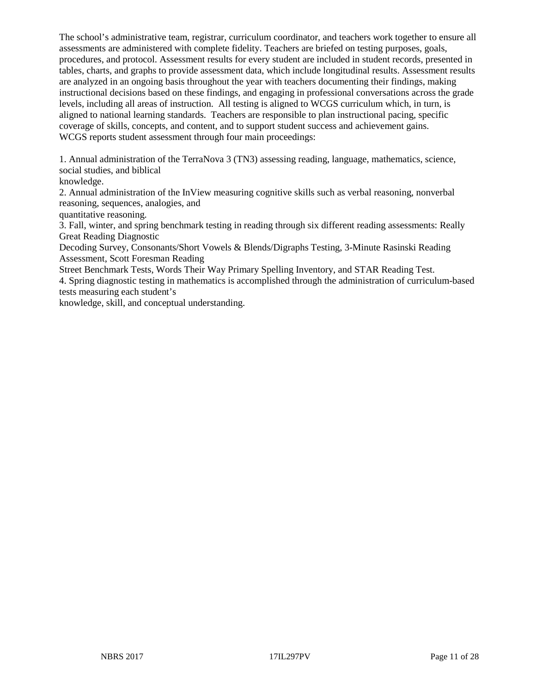The school's administrative team, registrar, curriculum coordinator, and teachers work together to ensure all assessments are administered with complete fidelity. Teachers are briefed on testing purposes, goals, procedures, and protocol. Assessment results for every student are included in student records, presented in tables, charts, and graphs to provide assessment data, which include longitudinal results. Assessment results are analyzed in an ongoing basis throughout the year with teachers documenting their findings, making instructional decisions based on these findings, and engaging in professional conversations across the grade levels, including all areas of instruction. All testing is aligned to WCGS curriculum which, in turn, is aligned to national learning standards. Teachers are responsible to plan instructional pacing, specific coverage of skills, concepts, and content, and to support student success and achievement gains. WCGS reports student assessment through four main proceedings:

1. Annual administration of the TerraNova 3 (TN3) assessing reading, language, mathematics, science, social studies, and biblical

knowledge.

2. Annual administration of the InView measuring cognitive skills such as verbal reasoning, nonverbal reasoning, sequences, analogies, and

quantitative reasoning.

3. Fall, winter, and spring benchmark testing in reading through six different reading assessments: Really Great Reading Diagnostic

Decoding Survey, Consonants/Short Vowels & Blends/Digraphs Testing, 3-Minute Rasinski Reading Assessment, Scott Foresman Reading

Street Benchmark Tests, Words Their Way Primary Spelling Inventory, and STAR Reading Test.

4. Spring diagnostic testing in mathematics is accomplished through the administration of curriculum-based tests measuring each student's

knowledge, skill, and conceptual understanding.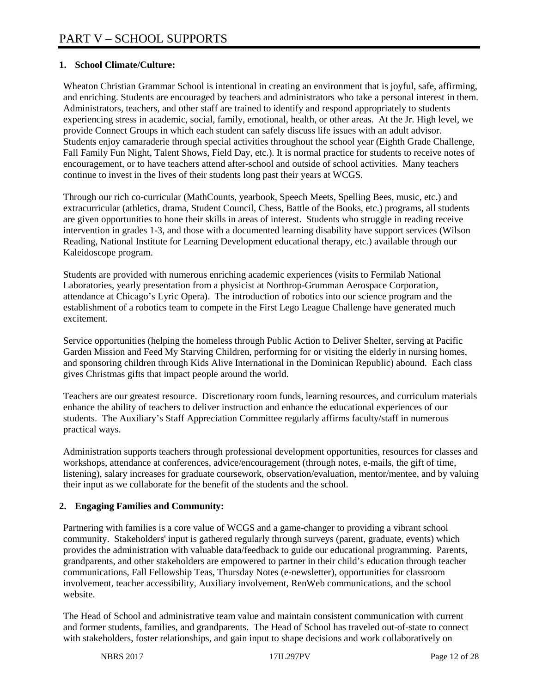### **1. School Climate/Culture:**

Wheaton Christian Grammar School is intentional in creating an environment that is joyful, safe, affirming, and enriching. Students are encouraged by teachers and administrators who take a personal interest in them. Administrators, teachers, and other staff are trained to identify and respond appropriately to students experiencing stress in academic, social, family, emotional, health, or other areas. At the Jr. High level, we provide Connect Groups in which each student can safely discuss life issues with an adult advisor. Students enjoy camaraderie through special activities throughout the school year (Eighth Grade Challenge, Fall Family Fun Night, Talent Shows, Field Day, etc.). It is normal practice for students to receive notes of encouragement, or to have teachers attend after-school and outside of school activities. Many teachers continue to invest in the lives of their students long past their years at WCGS.

Through our rich co-curricular (MathCounts, yearbook, Speech Meets, Spelling Bees, music, etc.) and extracurricular (athletics, drama, Student Council, Chess, Battle of the Books, etc.) programs, all students are given opportunities to hone their skills in areas of interest. Students who struggle in reading receive intervention in grades 1-3, and those with a documented learning disability have support services (Wilson Reading, National Institute for Learning Development educational therapy, etc.) available through our Kaleidoscope program.

Students are provided with numerous enriching academic experiences (visits to Fermilab National Laboratories, yearly presentation from a physicist at Northrop-Grumman Aerospace Corporation, attendance at Chicago's Lyric Opera). The introduction of robotics into our science program and the establishment of a robotics team to compete in the First Lego League Challenge have generated much excitement.

Service opportunities (helping the homeless through Public Action to Deliver Shelter, serving at Pacific Garden Mission and Feed My Starving Children, performing for or visiting the elderly in nursing homes, and sponsoring children through Kids Alive International in the Dominican Republic) abound. Each class gives Christmas gifts that impact people around the world.

Teachers are our greatest resource. Discretionary room funds, learning resources, and curriculum materials enhance the ability of teachers to deliver instruction and enhance the educational experiences of our students. The Auxiliary's Staff Appreciation Committee regularly affirms faculty/staff in numerous practical ways.

Administration supports teachers through professional development opportunities, resources for classes and workshops, attendance at conferences, advice/encouragement (through notes, e-mails, the gift of time, listening), salary increases for graduate coursework, observation/evaluation, mentor/mentee, and by valuing their input as we collaborate for the benefit of the students and the school.

# **2. Engaging Families and Community:**

Partnering with families is a core value of WCGS and a game-changer to providing a vibrant school community. Stakeholders' input is gathered regularly through surveys (parent, graduate, events) which provides the administration with valuable data/feedback to guide our educational programming. Parents, grandparents, and other stakeholders are empowered to partner in their child's education through teacher communications, Fall Fellowship Teas, Thursday Notes (e-newsletter), opportunities for classroom involvement, teacher accessibility, Auxiliary involvement, RenWeb communications, and the school website.

The Head of School and administrative team value and maintain consistent communication with current and former students, families, and grandparents. The Head of School has traveled out-of-state to connect with stakeholders, foster relationships, and gain input to shape decisions and work collaboratively on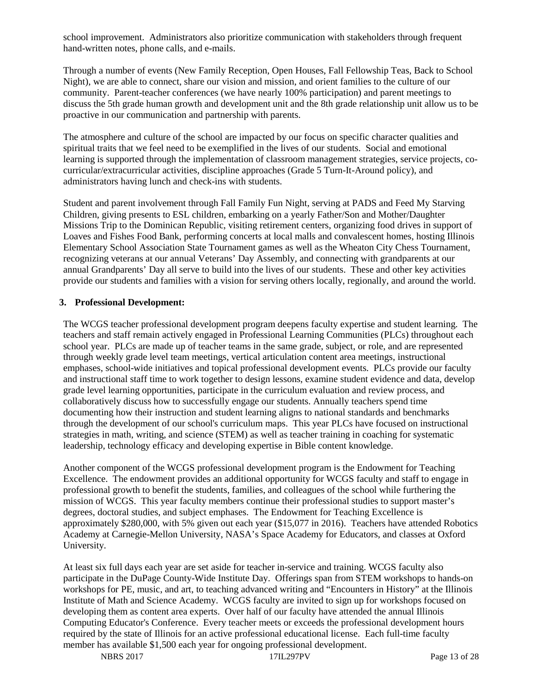school improvement. Administrators also prioritize communication with stakeholders through frequent hand-written notes, phone calls, and e-mails.

Through a number of events (New Family Reception, Open Houses, Fall Fellowship Teas, Back to School Night), we are able to connect, share our vision and mission, and orient families to the culture of our community. Parent-teacher conferences (we have nearly 100% participation) and parent meetings to discuss the 5th grade human growth and development unit and the 8th grade relationship unit allow us to be proactive in our communication and partnership with parents.

The atmosphere and culture of the school are impacted by our focus on specific character qualities and spiritual traits that we feel need to be exemplified in the lives of our students. Social and emotional learning is supported through the implementation of classroom management strategies, service projects, cocurricular/extracurricular activities, discipline approaches (Grade 5 Turn-It-Around policy), and administrators having lunch and check-ins with students.

Student and parent involvement through Fall Family Fun Night, serving at PADS and Feed My Starving Children, giving presents to ESL children, embarking on a yearly Father/Son and Mother/Daughter Missions Trip to the Dominican Republic, visiting retirement centers, organizing food drives in support of Loaves and Fishes Food Bank, performing concerts at local malls and convalescent homes, hosting Illinois Elementary School Association State Tournament games as well as the Wheaton City Chess Tournament, recognizing veterans at our annual Veterans' Day Assembly, and connecting with grandparents at our annual Grandparents' Day all serve to build into the lives of our students. These and other key activities provide our students and families with a vision for serving others locally, regionally, and around the world.

#### **3. Professional Development:**

The WCGS teacher professional development program deepens faculty expertise and student learning. The teachers and staff remain actively engaged in Professional Learning Communities (PLCs) throughout each school year. PLCs are made up of teacher teams in the same grade, subject, or role, and are represented through weekly grade level team meetings, vertical articulation content area meetings, instructional emphases, school-wide initiatives and topical professional development events. PLCs provide our faculty and instructional staff time to work together to design lessons, examine student evidence and data, develop grade level learning opportunities, participate in the curriculum evaluation and review process, and collaboratively discuss how to successfully engage our students. Annually teachers spend time documenting how their instruction and student learning aligns to national standards and benchmarks through the development of our school's curriculum maps. This year PLCs have focused on instructional strategies in math, writing, and science (STEM) as well as teacher training in coaching for systematic leadership, technology efficacy and developing expertise in Bible content knowledge.

Another component of the WCGS professional development program is the Endowment for Teaching Excellence. The endowment provides an additional opportunity for WCGS faculty and staff to engage in professional growth to benefit the students, families, and colleagues of the school while furthering the mission of WCGS. This year faculty members continue their professional studies to support master's degrees, doctoral studies, and subject emphases. The Endowment for Teaching Excellence is approximately \$280,000, with 5% given out each year (\$15,077 in 2016). Teachers have attended Robotics Academy at Carnegie-Mellon University, NASA's Space Academy for Educators, and classes at Oxford University.

At least six full days each year are set aside for teacher in-service and training. WCGS faculty also participate in the DuPage County-Wide Institute Day. Offerings span from STEM workshops to hands-on workshops for PE, music, and art, to teaching advanced writing and "Encounters in History" at the Illinois Institute of Math and Science Academy. WCGS faculty are invited to sign up for workshops focused on developing them as content area experts. Over half of our faculty have attended the annual Illinois Computing Educator's Conference. Every teacher meets or exceeds the professional development hours required by the state of Illinois for an active professional educational license. Each full-time faculty member has available \$1,500 each year for ongoing professional development.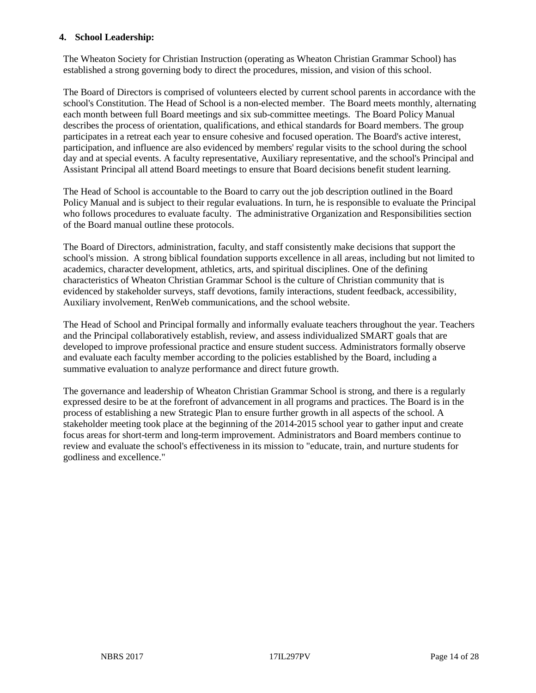#### **4. School Leadership:**

The Wheaton Society for Christian Instruction (operating as Wheaton Christian Grammar School) has established a strong governing body to direct the procedures, mission, and vision of this school.

The Board of Directors is comprised of volunteers elected by current school parents in accordance with the school's Constitution. The Head of School is a non-elected member. The Board meets monthly, alternating each month between full Board meetings and six sub-committee meetings. The Board Policy Manual describes the process of orientation, qualifications, and ethical standards for Board members. The group participates in a retreat each year to ensure cohesive and focused operation. The Board's active interest, participation, and influence are also evidenced by members' regular visits to the school during the school day and at special events. A faculty representative, Auxiliary representative, and the school's Principal and Assistant Principal all attend Board meetings to ensure that Board decisions benefit student learning.

The Head of School is accountable to the Board to carry out the job description outlined in the Board Policy Manual and is subject to their regular evaluations. In turn, he is responsible to evaluate the Principal who follows procedures to evaluate faculty. The administrative Organization and Responsibilities section of the Board manual outline these protocols.

The Board of Directors, administration, faculty, and staff consistently make decisions that support the school's mission. A strong biblical foundation supports excellence in all areas, including but not limited to academics, character development, athletics, arts, and spiritual disciplines. One of the defining characteristics of Wheaton Christian Grammar School is the culture of Christian community that is evidenced by stakeholder surveys, staff devotions, family interactions, student feedback, accessibility, Auxiliary involvement, RenWeb communications, and the school website.

The Head of School and Principal formally and informally evaluate teachers throughout the year. Teachers and the Principal collaboratively establish, review, and assess individualized SMART goals that are developed to improve professional practice and ensure student success. Administrators formally observe and evaluate each faculty member according to the policies established by the Board, including a summative evaluation to analyze performance and direct future growth.

The governance and leadership of Wheaton Christian Grammar School is strong, and there is a regularly expressed desire to be at the forefront of advancement in all programs and practices. The Board is in the process of establishing a new Strategic Plan to ensure further growth in all aspects of the school. A stakeholder meeting took place at the beginning of the 2014-2015 school year to gather input and create focus areas for short-term and long-term improvement. Administrators and Board members continue to review and evaluate the school's effectiveness in its mission to "educate, train, and nurture students for godliness and excellence."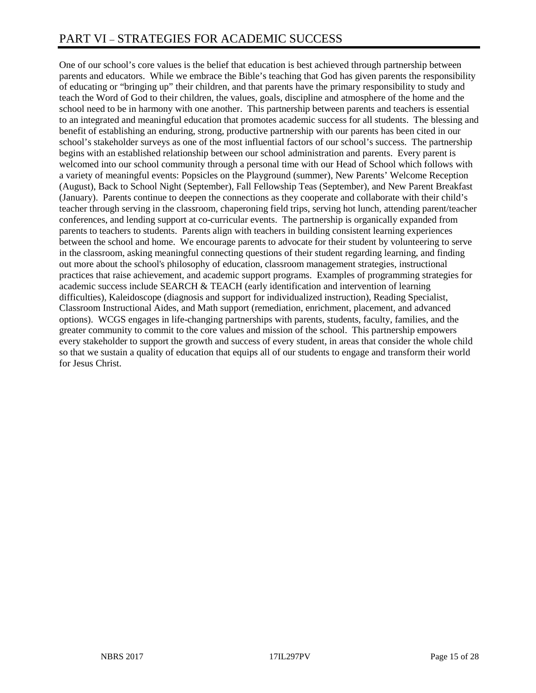# PART VI – STRATEGIES FOR ACADEMIC SUCCESS

One of our school's core values is the belief that education is best achieved through partnership between parents and educators. While we embrace the Bible's teaching that God has given parents the responsibility of educating or "bringing up" their children, and that parents have the primary responsibility to study and teach the Word of God to their children, the values, goals, discipline and atmosphere of the home and the school need to be in harmony with one another. This partnership between parents and teachers is essential to an integrated and meaningful education that promotes academic success for all students. The blessing and benefit of establishing an enduring, strong, productive partnership with our parents has been cited in our school's stakeholder surveys as one of the most influential factors of our school's success. The partnership begins with an established relationship between our school administration and parents. Every parent is welcomed into our school community through a personal time with our Head of School which follows with a variety of meaningful events: Popsicles on the Playground (summer), New Parents' Welcome Reception (August), Back to School Night (September), Fall Fellowship Teas (September), and New Parent Breakfast (January). Parents continue to deepen the connections as they cooperate and collaborate with their child's teacher through serving in the classroom, chaperoning field trips, serving hot lunch, attending parent/teacher conferences, and lending support at co-curricular events. The partnership is organically expanded from parents to teachers to students. Parents align with teachers in building consistent learning experiences between the school and home. We encourage parents to advocate for their student by volunteering to serve in the classroom, asking meaningful connecting questions of their student regarding learning, and finding out more about the school's philosophy of education, classroom management strategies, instructional practices that raise achievement, and academic support programs. Examples of programming strategies for academic success include SEARCH & TEACH (early identification and intervention of learning difficulties), Kaleidoscope (diagnosis and support for individualized instruction), Reading Specialist, Classroom Instructional Aides, and Math support (remediation, enrichment, placement, and advanced options). WCGS engages in life-changing partnerships with parents, students, faculty, families, and the greater community to commit to the core values and mission of the school. This partnership empowers every stakeholder to support the growth and success of every student, in areas that consider the whole child so that we sustain a quality of education that equips all of our students to engage and transform their world for Jesus Christ.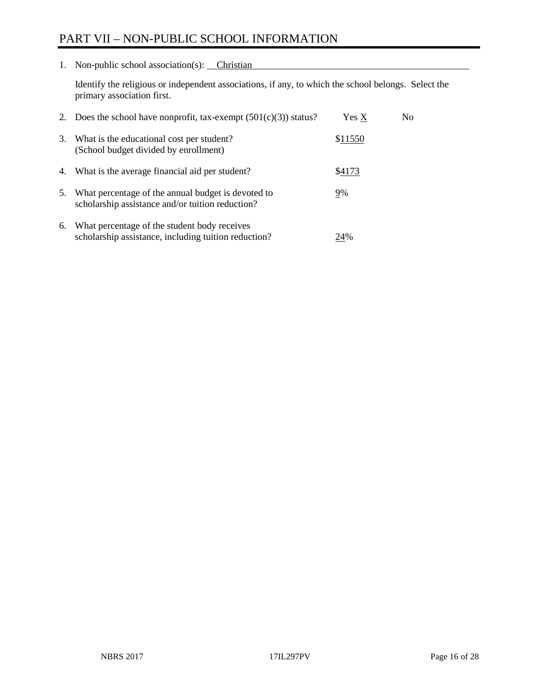# PART VII – NON-PUBLIC SCHOOL INFORMATION

1. Non-public school association(s): Christian

Identify the religious or independent associations, if any, to which the school belongs. Select the primary association first.

| 2. | Does the school have nonprofit, tax-exempt $(501(c)(3))$ status?                                       | Yes X   | No. |
|----|--------------------------------------------------------------------------------------------------------|---------|-----|
| 3. | What is the educational cost per student?<br>(School budget divided by enrollment)                     | \$11550 |     |
| 4. | What is the average financial aid per student?                                                         | \$4173  |     |
| 5. | What percentage of the annual budget is devoted to<br>scholarship assistance and/or tuition reduction? | 9%      |     |
| 6. | What percentage of the student body receives<br>scholarship assistance, including tuition reduction?   | 24%     |     |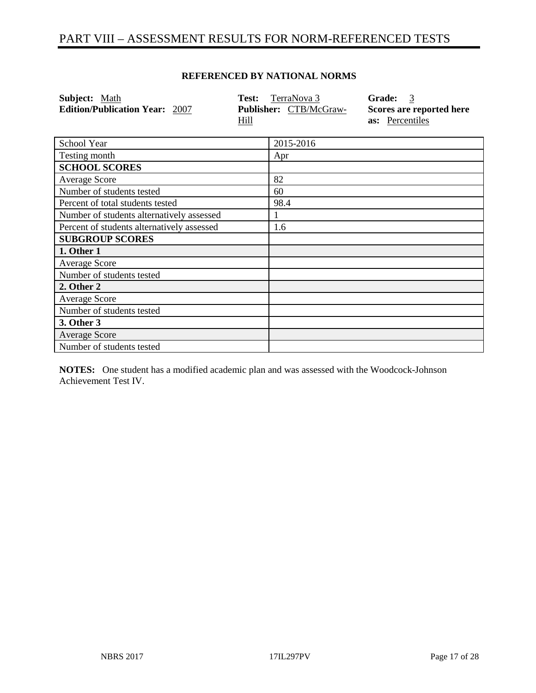# PART VIII – ASSESSMENT RESULTS FOR NORM-REFERENCED TESTS

| Subject: Math                              | Test: | TerraNova 3            | Grade:<br>$\overline{3}$ |
|--------------------------------------------|-------|------------------------|--------------------------|
| <b>Edition/Publication Year: 2007</b>      |       | Publisher: CTB/McGraw- | Scores are reported here |
|                                            | Hill  |                        | as: Percentiles          |
|                                            |       |                        |                          |
| School Year                                |       | 2015-2016              |                          |
| Testing month                              |       | Apr                    |                          |
| <b>SCHOOL SCORES</b>                       |       |                        |                          |
| <b>Average Score</b>                       |       | 82                     |                          |
| Number of students tested                  |       | 60                     |                          |
| Percent of total students tested           |       | 98.4                   |                          |
| Number of students alternatively assessed  |       |                        |                          |
| Percent of students alternatively assessed |       | 1.6                    |                          |
| <b>SUBGROUP SCORES</b>                     |       |                        |                          |
| 1. Other 1                                 |       |                        |                          |
| Average Score                              |       |                        |                          |
| Number of students tested                  |       |                        |                          |
| 2. Other 2                                 |       |                        |                          |
| Average Score                              |       |                        |                          |
| Number of students tested                  |       |                        |                          |
| 3. Other 3                                 |       |                        |                          |
| <b>Average Score</b>                       |       |                        |                          |
| Number of students tested                  |       |                        |                          |

#### **REFERENCED BY NATIONAL NORMS**

**NOTES:** One student has a modified academic plan and was assessed with the Woodcock-Johnson Achievement Test IV.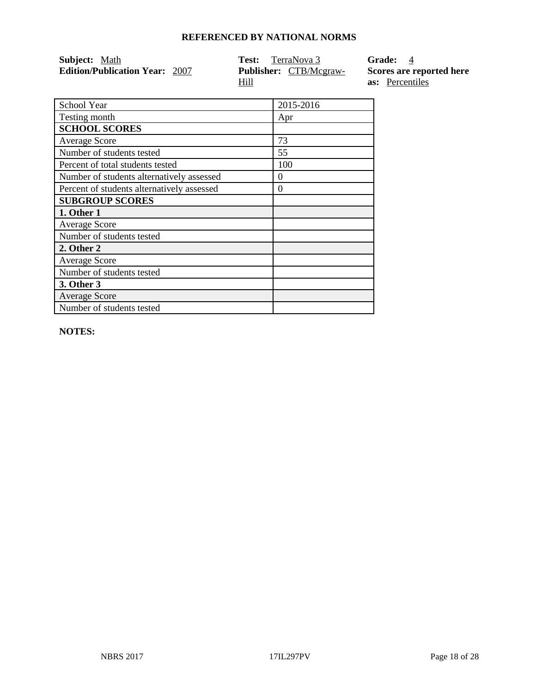| <b>Subject:</b> Math                  | TerraNova 3<br>Test:          | Grade: 4                 |
|---------------------------------------|-------------------------------|--------------------------|
| <b>Edition/Publication Year: 2007</b> | <b>Publisher:</b> CTB/Mcgraw- | Scores are reported here |
|                                       | Hill                          | <b>as:</b> Percentiles   |

| School Year                                | 2015-2016 |
|--------------------------------------------|-----------|
| Testing month                              | Apr       |
| <b>SCHOOL SCORES</b>                       |           |
| <b>Average Score</b>                       | 73        |
| Number of students tested                  | 55        |
| Percent of total students tested           | 100       |
| Number of students alternatively assessed  | $\Omega$  |
| Percent of students alternatively assessed | 0         |
| <b>SUBGROUP SCORES</b>                     |           |
| 1. Other 1                                 |           |
| <b>Average Score</b>                       |           |
| Number of students tested                  |           |
| 2. Other 2                                 |           |
| Average Score                              |           |
| Number of students tested                  |           |
| 3. Other 3                                 |           |
| <b>Average Score</b>                       |           |
| Number of students tested                  |           |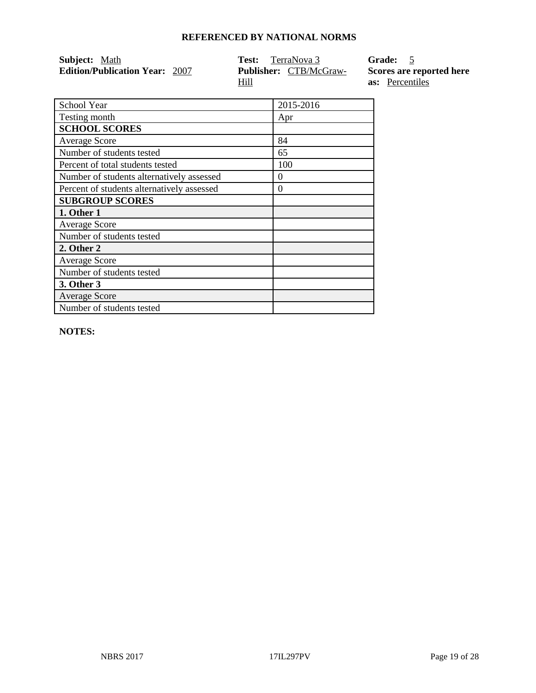| <b>Subject:</b> Math                  | <b>Test:</b> TerraNova 3      | Grade: 5                 |
|---------------------------------------|-------------------------------|--------------------------|
| <b>Edition/Publication Year: 2007</b> | <b>Publisher:</b> CTB/McGraw- | Scores are reported here |
|                                       | Hill                          | <b>as:</b> Percentiles   |

| School Year                                | 2015-2016 |
|--------------------------------------------|-----------|
| Testing month                              | Apr       |
| <b>SCHOOL SCORES</b>                       |           |
| <b>Average Score</b>                       | 84        |
| Number of students tested                  | 65        |
| Percent of total students tested           | 100       |
| Number of students alternatively assessed  | $\Omega$  |
| Percent of students alternatively assessed | $\Omega$  |
| <b>SUBGROUP SCORES</b>                     |           |
| 1. Other 1                                 |           |
| <b>Average Score</b>                       |           |
| Number of students tested                  |           |
| 2. Other 2                                 |           |
| <b>Average Score</b>                       |           |
| Number of students tested                  |           |
| 3. Other 3                                 |           |
| <b>Average Score</b>                       |           |
| Number of students tested                  |           |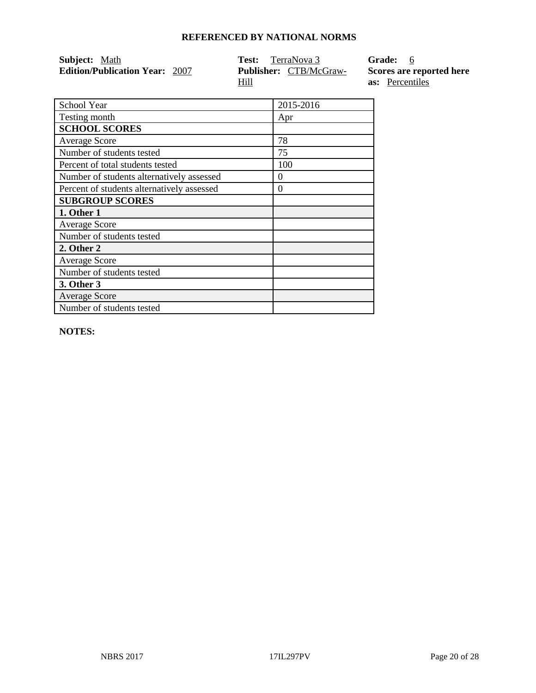| Subject: Math                         | <b>Test:</b> TerraNova 3      | Grade: 6                 |
|---------------------------------------|-------------------------------|--------------------------|
| <b>Edition/Publication Year: 2007</b> | <b>Publisher:</b> CTB/McGraw- | Scores are reported here |
|                                       | Hill                          | <b>as:</b> Percentiles   |

| School Year                                | 2015-2016 |
|--------------------------------------------|-----------|
| Testing month                              | Apr       |
| <b>SCHOOL SCORES</b>                       |           |
| <b>Average Score</b>                       | 78        |
| Number of students tested                  | 75        |
| Percent of total students tested           | 100       |
| Number of students alternatively assessed  | 0         |
| Percent of students alternatively assessed | $\Omega$  |
| <b>SUBGROUP SCORES</b>                     |           |
| 1. Other 1                                 |           |
| <b>Average Score</b>                       |           |
| Number of students tested                  |           |
| 2. Other 2                                 |           |
| <b>Average Score</b>                       |           |
| Number of students tested                  |           |
| 3. Other 3                                 |           |
| <b>Average Score</b>                       |           |
| Number of students tested                  |           |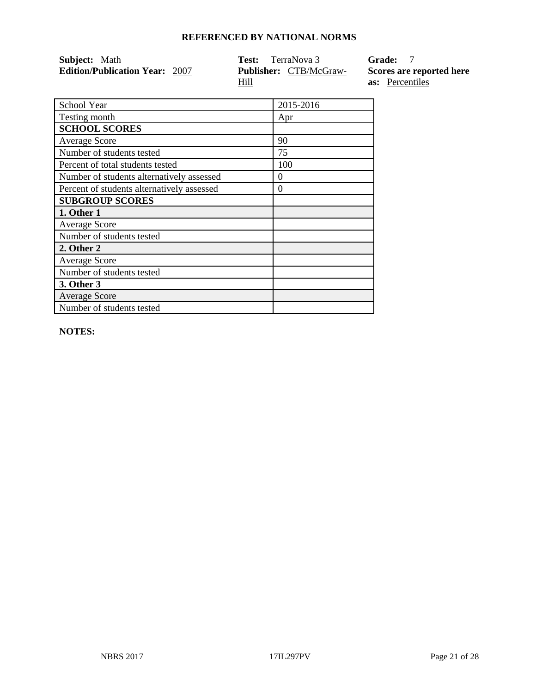| <b>Subject:</b> Math                  | <b>Test:</b> TerraNova 3      | <b>Grade:</b>            |
|---------------------------------------|-------------------------------|--------------------------|
| <b>Edition/Publication Year: 2007</b> | <b>Publisher:</b> CTB/McGraw- | Scores are reported here |
|                                       | Hill                          | <b>as:</b> Percentiles   |

| School Year                                | 2015-2016 |
|--------------------------------------------|-----------|
| Testing month                              | Apr       |
| <b>SCHOOL SCORES</b>                       |           |
| <b>Average Score</b>                       | 90        |
| Number of students tested                  | 75        |
| Percent of total students tested           | 100       |
| Number of students alternatively assessed  | $\Omega$  |
| Percent of students alternatively assessed | $\Omega$  |
| <b>SUBGROUP SCORES</b>                     |           |
| 1. Other 1                                 |           |
| <b>Average Score</b>                       |           |
| Number of students tested                  |           |
| 2. Other 2                                 |           |
| <b>Average Score</b>                       |           |
| Number of students tested                  |           |
| 3. Other 3                                 |           |
| <b>Average Score</b>                       |           |
| Number of students tested                  |           |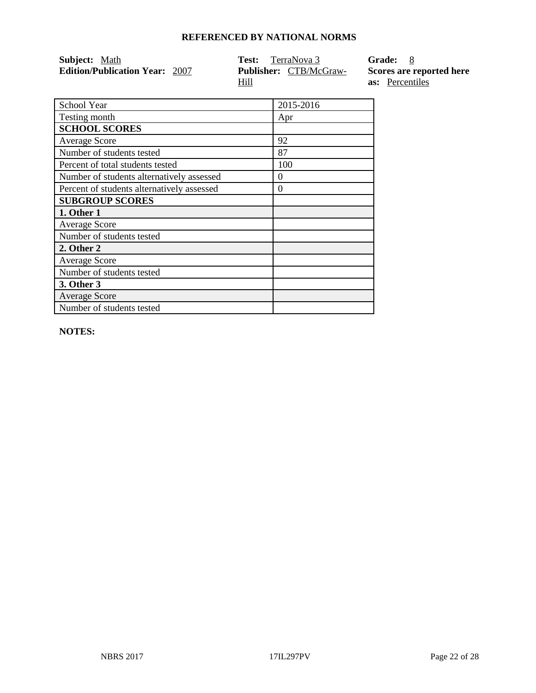| <b>Subject:</b> Math                  | <b>Test:</b> TerraNova 3      | Grade: 8                 |
|---------------------------------------|-------------------------------|--------------------------|
| <b>Edition/Publication Year: 2007</b> | <b>Publisher:</b> CTB/McGraw- | Scores are reported here |
|                                       | Hill                          | <b>as:</b> Percentiles   |

| School Year                                | 2015-2016 |
|--------------------------------------------|-----------|
| Testing month                              | Apr       |
| <b>SCHOOL SCORES</b>                       |           |
| <b>Average Score</b>                       | 92        |
| Number of students tested                  | 87        |
| Percent of total students tested           | 100       |
| Number of students alternatively assessed  | 0         |
| Percent of students alternatively assessed | $\Omega$  |
| <b>SUBGROUP SCORES</b>                     |           |
| 1. Other 1                                 |           |
| <b>Average Score</b>                       |           |
| Number of students tested                  |           |
| 2. Other 2                                 |           |
| <b>Average Score</b>                       |           |
| Number of students tested                  |           |
| 3. Other 3                                 |           |
| <b>Average Score</b>                       |           |
| Number of students tested                  |           |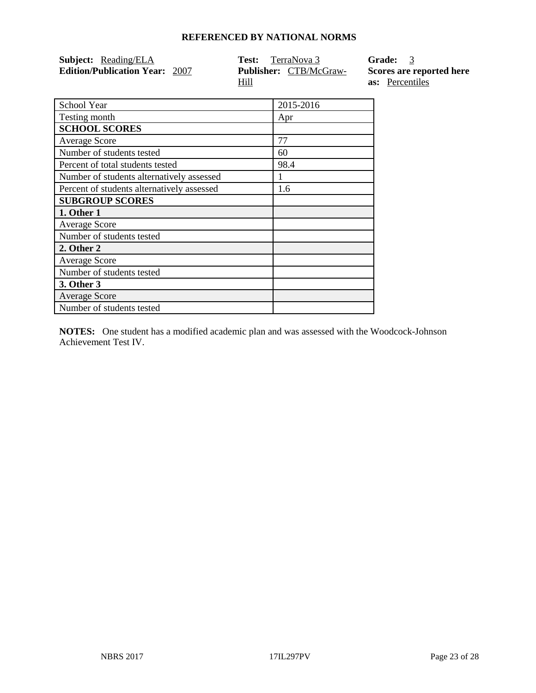| <b>Subject:</b> Reading/ELA           | <b>Test:</b> TerraNova 3      | Grade: 3                 |
|---------------------------------------|-------------------------------|--------------------------|
| <b>Edition/Publication Year: 2007</b> | <b>Publisher:</b> CTB/McGraw- | Scores are reported here |
|                                       | Hill                          | <b>as:</b> Percentiles   |

| School Year                                | 2015-2016 |
|--------------------------------------------|-----------|
| Testing month                              | Apr       |
| <b>SCHOOL SCORES</b>                       |           |
| <b>Average Score</b>                       | 77        |
| Number of students tested                  | 60        |
| Percent of total students tested           | 98.4      |
| Number of students alternatively assessed  |           |
| Percent of students alternatively assessed | 1.6       |
| <b>SUBGROUP SCORES</b>                     |           |
| 1. Other 1                                 |           |
| <b>Average Score</b>                       |           |
| Number of students tested                  |           |
| 2. Other 2                                 |           |
| <b>Average Score</b>                       |           |
| Number of students tested                  |           |
| 3. Other 3                                 |           |
| <b>Average Score</b>                       |           |
| Number of students tested                  |           |

**NOTES:** One student has a modified academic plan and was assessed with the Woodcock-Johnson Achievement Test IV.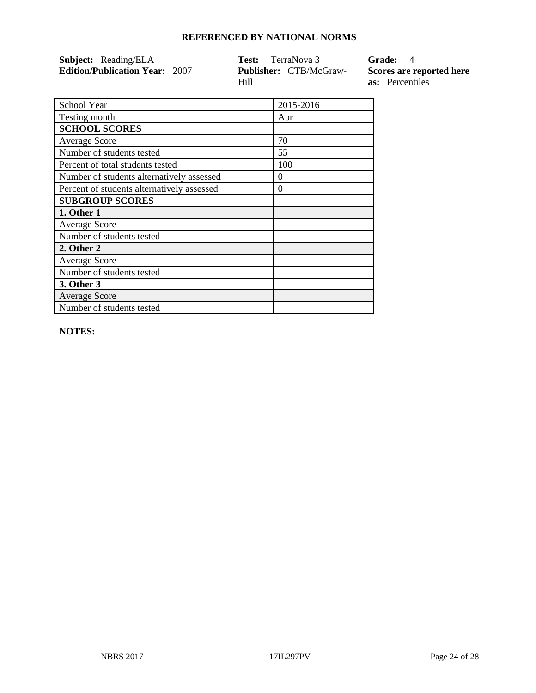| <b>Subject:</b> Reading/ELA           | <b>Test:</b> TerraNova 3      | <b>Grade:</b> 4          |
|---------------------------------------|-------------------------------|--------------------------|
| <b>Edition/Publication Year: 2007</b> | <b>Publisher:</b> CTB/McGraw- | Scores are reported here |
|                                       | <u>Hill</u>                   | <b>as:</b> Percentiles   |

| School Year                                | 2015-2016 |
|--------------------------------------------|-----------|
| Testing month                              | Apr       |
| <b>SCHOOL SCORES</b>                       |           |
| <b>Average Score</b>                       | 70        |
| Number of students tested                  | 55        |
| Percent of total students tested           | 100       |
| Number of students alternatively assessed  | $\Omega$  |
| Percent of students alternatively assessed | $\Omega$  |
| <b>SUBGROUP SCORES</b>                     |           |
| 1. Other 1                                 |           |
| <b>Average Score</b>                       |           |
| Number of students tested                  |           |
| 2. Other 2                                 |           |
| <b>Average Score</b>                       |           |
| Number of students tested                  |           |
| 3. Other 3                                 |           |
| <b>Average Score</b>                       |           |
| Number of students tested                  |           |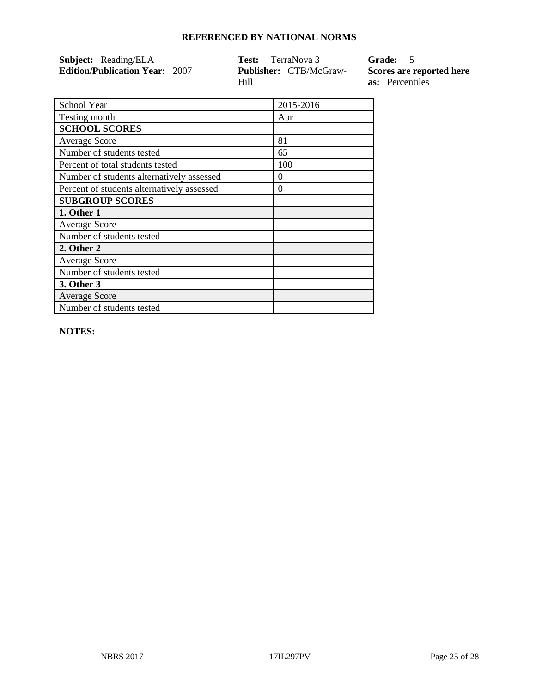| <b>Subject:</b> Reading/ELA           | <b>Test:</b> TerraNova 3      | Grade: 5                 |
|---------------------------------------|-------------------------------|--------------------------|
| <b>Edition/Publication Year: 2007</b> | <b>Publisher:</b> CTB/McGraw- | Scores are reported here |
|                                       | Hill                          | <b>as:</b> Percentiles   |

| School Year                                | 2015-2016 |
|--------------------------------------------|-----------|
| Testing month                              | Apr       |
| <b>SCHOOL SCORES</b>                       |           |
| <b>Average Score</b>                       | 81        |
| Number of students tested                  | 65        |
| Percent of total students tested           | 100       |
| Number of students alternatively assessed  | 0         |
| Percent of students alternatively assessed | $\theta$  |
| <b>SUBGROUP SCORES</b>                     |           |
| 1. Other 1                                 |           |
| <b>Average Score</b>                       |           |
| Number of students tested                  |           |
| 2. Other 2                                 |           |
| <b>Average Score</b>                       |           |
| Number of students tested                  |           |
| 3. Other 3                                 |           |
| <b>Average Score</b>                       |           |
| Number of students tested                  |           |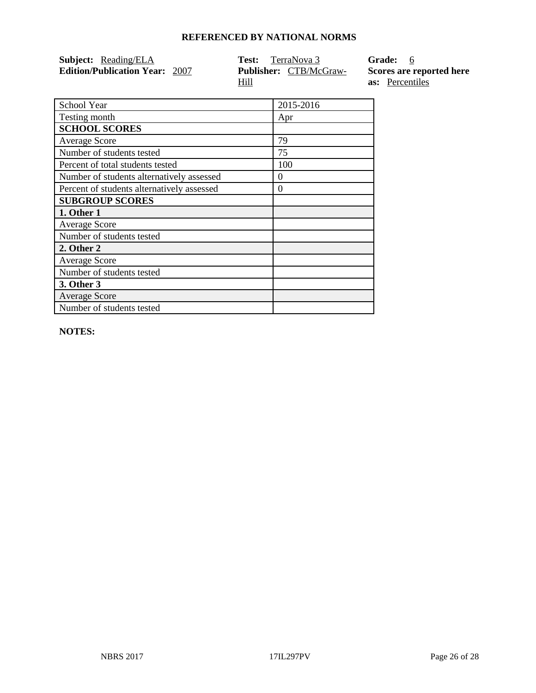| <b>Subject:</b> Reading/ELA           | <b>Test:</b> TerraNova 3      | Grade: 6                 |
|---------------------------------------|-------------------------------|--------------------------|
| <b>Edition/Publication Year: 2007</b> | <b>Publisher:</b> CTB/McGraw- | Scores are reported here |
|                                       | Hill                          | <b>as:</b> Percentiles   |

| School Year                                | 2015-2016 |
|--------------------------------------------|-----------|
| Testing month                              | Apr       |
| <b>SCHOOL SCORES</b>                       |           |
| <b>Average Score</b>                       | 79        |
| Number of students tested                  | 75        |
| Percent of total students tested           | 100       |
| Number of students alternatively assessed  | $\Omega$  |
| Percent of students alternatively assessed | $\Omega$  |
| <b>SUBGROUP SCORES</b>                     |           |
| 1. Other 1                                 |           |
| <b>Average Score</b>                       |           |
| Number of students tested                  |           |
| 2. Other 2                                 |           |
| <b>Average Score</b>                       |           |
| Number of students tested                  |           |
| 3. Other 3                                 |           |
| <b>Average Score</b>                       |           |
| Number of students tested                  |           |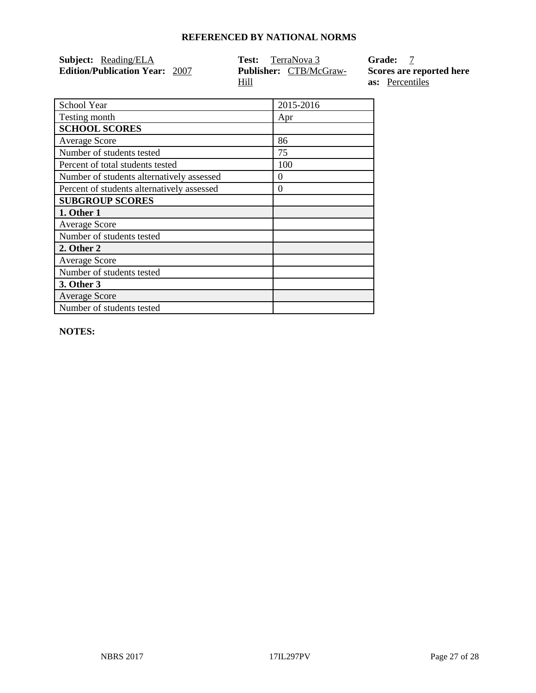| <b>Subject:</b> Reading/ELA           | <b>Test:</b> TerraNova 3      | Grade: 7                 |
|---------------------------------------|-------------------------------|--------------------------|
| <b>Edition/Publication Year: 2007</b> | <b>Publisher:</b> CTB/McGraw- | Scores are reported here |
|                                       | Hill                          | <b>as:</b> Percentiles   |

| School Year                                | 2015-2016 |
|--------------------------------------------|-----------|
| Testing month                              | Apr       |
| <b>SCHOOL SCORES</b>                       |           |
| <b>Average Score</b>                       | 86        |
| Number of students tested                  | 75        |
| Percent of total students tested           | 100       |
| Number of students alternatively assessed  | 0         |
| Percent of students alternatively assessed | $\theta$  |
| <b>SUBGROUP SCORES</b>                     |           |
| 1. Other 1                                 |           |
| <b>Average Score</b>                       |           |
| Number of students tested                  |           |
| 2. Other 2                                 |           |
| <b>Average Score</b>                       |           |
| Number of students tested                  |           |
| 3. Other 3                                 |           |
| <b>Average Score</b>                       |           |
| Number of students tested                  |           |